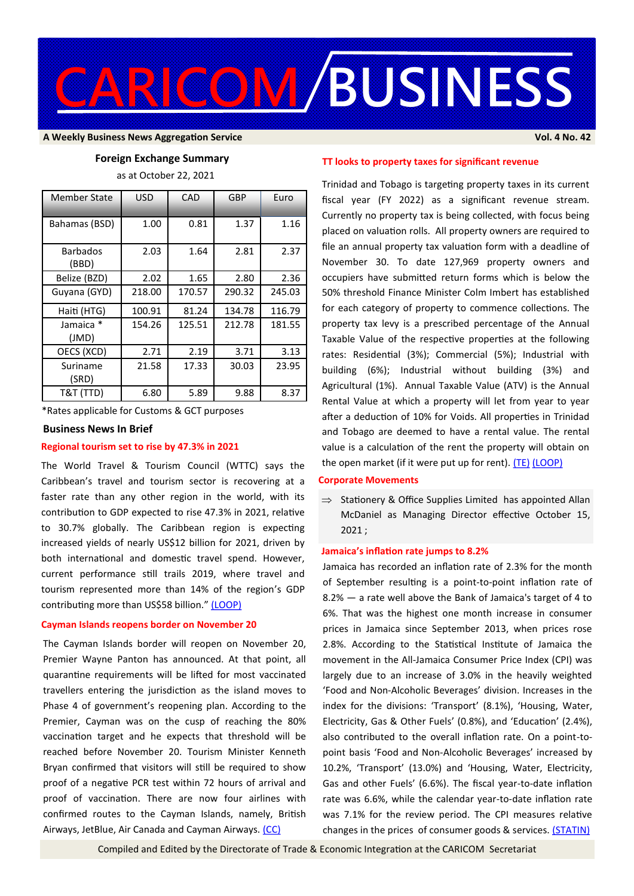

#### **A Weekly Business News Aggregation Service Vol. 4 No. 42**

### **Foreign Exchange Summary**

as at October 22, 2021

| <b>Member State</b>      | <b>USD</b> | CAD    | GBP    | Euro   |
|--------------------------|------------|--------|--------|--------|
| Bahamas (BSD)            | 1.00       | 0.81   | 1.37   | 1.16   |
| <b>Barbados</b><br>(BBD) | 2.03       | 1.64   | 2.81   | 2.37   |
| Belize (BZD)             | 2.02       | 1.65   | 2.80   | 2.36   |
| Guyana (GYD)             | 218.00     | 170.57 | 290.32 | 245.03 |
| Haiti (HTG)              | 100.91     | 81.24  | 134.78 | 116.79 |
| Jamaica *<br>(JMD)       | 154.26     | 125.51 | 212.78 | 181.55 |
| OECS (XCD)               | 2.71       | 2.19   | 3.71   | 3.13   |
| Suriname<br>(SRD)        | 21.58      | 17.33  | 30.03  | 23.95  |
| T&T (TTD)                | 6.80       | 5.89   | 9.88   | 8.37   |

\*Rates applicable for Customs & GCT purposes

#### **Business News In Brief**

# **Regional tourism set to rise by 47.3% in 2021**

The World Travel & Tourism Council (WTTC) says the Caribbean's travel and tourism sector is recovering at a faster rate than any other region in the world, with its contribution to GDP expected to rise 47.3% in 2021, relative to 30.7% globally. The Caribbean region is expecting increased yields of nearly US\$12 billion for 2021, driven by both international and domestic travel spend. However, current performance still trails 2019, where travel and tourism represented more than 14% of the region's GDP contributing more than US\$58 billion." [\(LOOP\)](https://caribbean.loopnews.com/content/caribbean-tourism-upswing)

#### **Cayman Islands reopens border on November 20**

The Cayman Islands border will reopen on November 20, Premier Wayne Panton has announced. At that point, all quarantine requirements will be lifted for most vaccinated travellers entering the jurisdiction as the island moves to Phase 4 of government's reopening plan. According to the Premier, Cayman was on the cusp of reaching the 80% vaccination target and he expects that threshold will be reached before November 20. Tourism Minister Kenneth Bryan confirmed that visitors will still be required to show proof of a negative PCR test within 72 hours of arrival and proof of vaccination. There are now four airlines with confirmed routes to the Cayman Islands, namely, British Airways, JetBlue, Air Canada and Cayman Airways. [\(CC\)](https://www.caymancompass.com/2021/10/22/cayman-border-reopening/)

# **TT looks to property taxes for significant revenue**

Trinidad and Tobago is targeting property taxes in its current fiscal year (FY 2022) as a significant revenue stream. Currently no property tax is being collected, with focus being placed on valuation rolls. All property owners are required to file an annual property tax valuation form with a deadline of November 30. To date 127,969 property owners and occupiers have submitted return forms which is below the 50% threshold Finance Minister Colm Imbert has established for each category of property to commence collections. The property tax levy is a prescribed percentage of the Annual Taxable Value of the respective properties at the following rates: Residential (3%); Commercial (5%); Industrial with building (6%); Industrial without building (3%) and Agricultural (1%). Annual Taxable Value (ATV) is the Annual Rental Value at which a property will let from year to year after a deduction of 10% for Voids. All properties in Trinidad and Tobago are deemed to have a rental value. The rental value is a calculation of the rent the property will obtain on the open market (if it were put up for rent). [\(TE\)](https://trinidadexpress.com/business/local/imbert-gives-details-on-property-tax/article_e01fe396-3071-11ec-9142-9b761ea8ed52.html) [\(LOOP\)](https://tt.loopnews.com/content/10-things-know-about-property-tax)

#### **Corporate Movements**

 $\Rightarrow$  Stationery & Office Supplies Limited has appointed Allan McDaniel as Managing Director effective October 15, 2021 ;

#### **Jamaica's inflation rate jumps to 8.2%**

Jamaica has recorded an inflation rate of 2.3% for the month of September resulting is a point-to-point inflation rate of 8.2% — a rate well above the Bank of Jamaica's target of 4 to 6%. That was the highest one month increase in consumer prices in Jamaica since September 2013, when prices rose 2.8%. According to the Statistical Institute of Jamaica the movement in the All-Jamaica Consumer Price Index (CPI) was largely due to an increase of 3.0% in the heavily weighted 'Food and Non-Alcoholic Beverages' division. Increases in the index for the divisions: 'Transport' (8.1%), 'Housing, Water, Electricity, Gas & Other Fuels' (0.8%), and 'Education' (2.4%), also contributed to the overall inflation rate. On a point-topoint basis 'Food and Non-Alcoholic Beverages' increased by 10.2%, 'Transport' (13.0%) and 'Housing, Water, Electricity, Gas and other Fuels' (6.6%). The fiscal year-to-date inflation rate was 6.6%, while the calendar year-to-date inflation rate was 7.1% for the review period. The CPI measures relative changes in the prices of consumer goods & services. [\(STATIN\)](https://statinja.gov.jm/PressReleases.aspx)